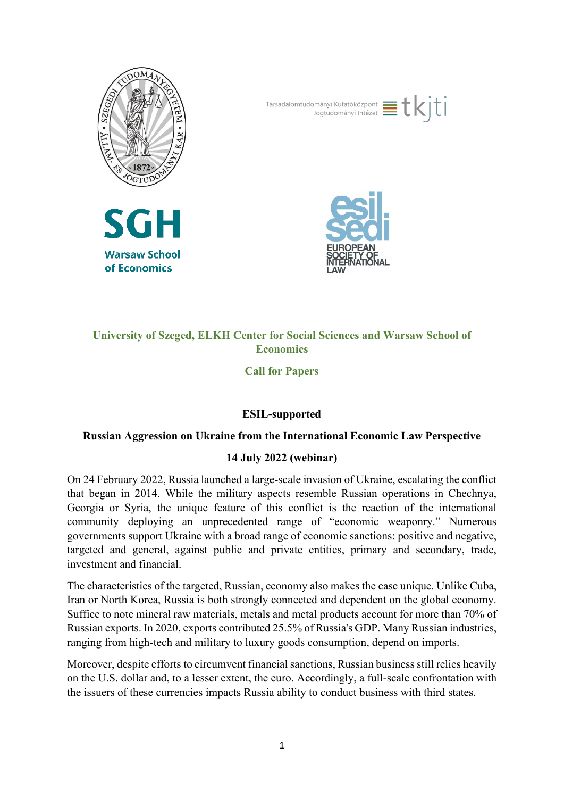







# **University of Szeged, ELKH Center for Social Sciences and Warsaw School of Economics**

**Call for Papers**

# **ESIL-supported**

### **Russian Aggression on Ukraine from the International Economic Law Perspective**

### **14 July 2022 (webinar)**

On 24 February 2022, Russia launched a large-scale invasion of Ukraine, escalating the conflict that began in 2014. While the military aspects resemble Russian operations in Chechnya, Georgia or Syria, the unique feature of this conflict is the reaction of the international community deploying an unprecedented range of "economic weaponry." Numerous governments support Ukraine with a broad range of economic sanctions: positive and negative, targeted and general, against public and private entities, primary and secondary, trade, investment and financial.

The characteristics of the targeted, Russian, economy also makes the case unique. Unlike Cuba, Iran or North Korea, Russia is both strongly connected and dependent on the global economy. Suffice to note mineral raw materials, metals and metal products account for more than 70% of Russian exports. In 2020, exports contributed 25.5% of Russia's GDP. Many Russian industries, ranging from high-tech and military to luxury goods consumption, depend on imports.

Moreover, despite efforts to circumvent financial sanctions, Russian business still relies heavily on the U.S. dollar and, to a lesser extent, the euro. Accordingly, a full-scale confrontation with the issuers of these currencies impacts Russia ability to conduct business with third states.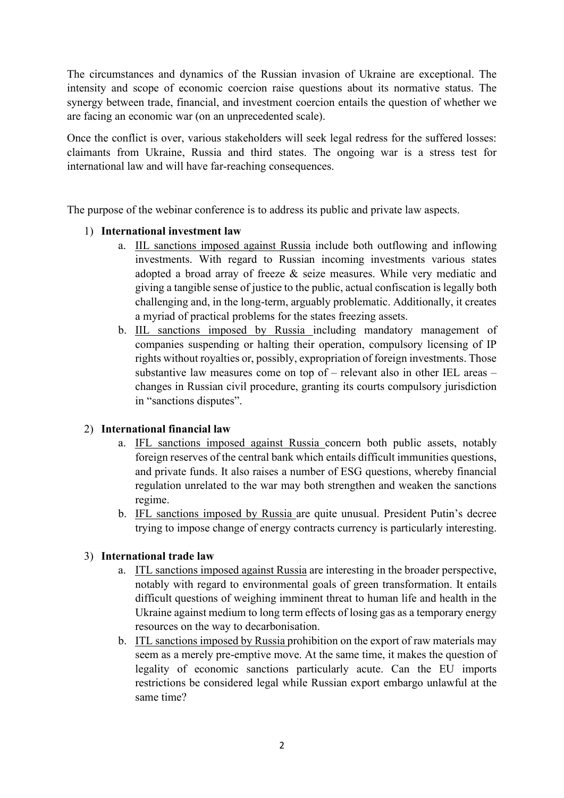The circumstances and dynamics of the Russian invasion of Ukraine are exceptional. The intensity and scope of economic coercion raise questions about its normative status. The synergy between trade, financial, and investment coercion entails the question of whether we are facing an economic war (on an unprecedented scale).

Once the conflict is over, various stakeholders will seek legal redress for the suffered losses: claimants from Ukraine, Russia and third states. The ongoing war is a stress test for international law and will have far-reaching consequences.

The purpose of the webinar conference is to address its public and private law aspects.

### 1) **International investment law**

- a. IIL sanctions imposed against Russia include both outflowing and inflowing investments. With regard to Russian incoming investments various states adopted a broad array of freeze & seize measures. While very mediatic and giving a tangible sense of justice to the public, actual confiscation is legally both challenging and, in the long-term, arguably problematic. Additionally, it creates a myriad of practical problems for the states freezing assets.
- b. IIL sanctions imposed by Russia including mandatory management of companies suspending or halting their operation, compulsory licensing of IP rights without royalties or, possibly, expropriation of foreign investments. Those substantive law measures come on top of – relevant also in other IEL areas – changes in Russian civil procedure, granting its courts compulsory jurisdiction in "sanctions disputes".

### 2) **International financial law**

- a. IFL sanctions imposed against Russia concern both public assets, notably foreign reserves of the central bank which entails difficult immunities questions, and private funds. It also raises a number of ESG questions, whereby financial regulation unrelated to the war may both strengthen and weaken the sanctions regime.
- b. IFL sanctions imposed by Russia are quite unusual. President Putin's decree trying to impose change of energy contracts currency is particularly interesting.

#### 3) **International trade law**

- a. ITL sanctions imposed against Russia are interesting in the broader perspective, notably with regard to environmental goals of green transformation. It entails difficult questions of weighing imminent threat to human life and health in the Ukraine against medium to long term effects of losing gas as a temporary energy resources on the way to decarbonisation.
- b. ITL sanctions imposed by Russia prohibition on the export of raw materials may seem as a merely pre-emptive move. At the same time, it makes the question of legality of economic sanctions particularly acute. Can the EU imports restrictions be considered legal while Russian export embargo unlawful at the same time?